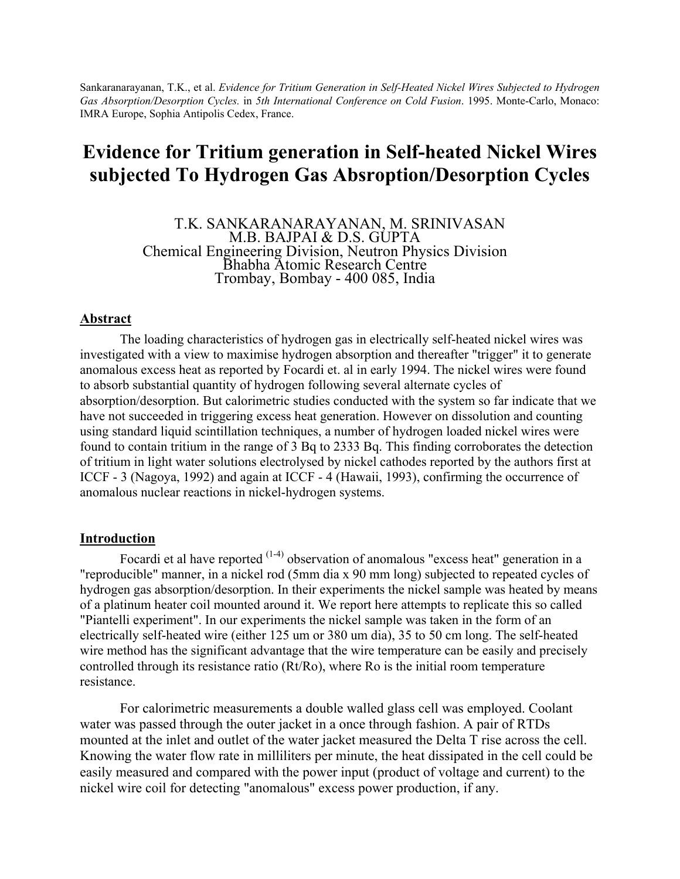Sankaranarayanan, T.K., et al. *Evidence for Tritium Generation in Self-Heated Nickel Wires Subjected to Hydrogen Gas Absorption/Desorption Cycles.* in *5th International Conference on Cold Fusion*. 1995. Monte-Carlo, Monaco: IMRA Europe, Sophia Antipolis Cedex, France.

# **Evidence for Tritium generation in Self-heated Nickel Wires subjected To Hydrogen Gas Absroption/Desorption Cycles**

T.K. SANKARANARAYANAN, M. SRINIVASAN M.B. BAJPAI & D.S. GUPTA Chemical Engineering Division, Neutron Physics Division Bhabha Atomic Research Centre Trombay, Bombay - 400 085, India

#### **Abstract**

The loading characteristics of hydrogen gas in electrically self-heated nickel wires was investigated with a view to maximise hydrogen absorption and thereafter "trigger" it to generate anomalous excess heat as reported by Focardi et. al in early 1994. The nickel wires were found to absorb substantial quantity of hydrogen following several alternate cycles of absorption/desorption. But calorimetric studies conducted with the system so far indicate that we have not succeeded in triggering excess heat generation. However on dissolution and counting using standard liquid scintillation techniques, a number of hydrogen loaded nickel wires were found to contain tritium in the range of 3 Bq to 2333 Bq. This finding corroborates the detection of tritium in light water solutions electrolysed by nickel cathodes reported by the authors first at ICCF - 3 (Nagoya, 1992) and again at ICCF - 4 (Hawaii, 1993), confirming the occurrence of anomalous nuclear reactions in nickel-hydrogen systems.

#### **Introduction**

Focardi et al have reported  $(1-4)$  observation of anomalous "excess heat" generation in a "reproducible" manner, in a nickel rod (5mm dia x 90 mm long) subjected to repeated cycles of hydrogen gas absorption/desorption. In their experiments the nickel sample was heated by means of a platinum heater coil mounted around it. We report here attempts to replicate this so called "Piantelli experiment". In our experiments the nickel sample was taken in the form of an electrically self-heated wire (either 125 um or 380 um dia), 35 to 50 cm long. The self-heated wire method has the significant advantage that the wire temperature can be easily and precisely controlled through its resistance ratio (Rt/Ro), where Ro is the initial room temperature resistance.

For calorimetric measurements a double walled glass cell was employed. Coolant water was passed through the outer jacket in a once through fashion. A pair of RTDs mounted at the inlet and outlet of the water jacket measured the Delta T rise across the cell. Knowing the water flow rate in milliliters per minute, the heat dissipated in the cell could be easily measured and compared with the power input (product of voltage and current) to the nickel wire coil for detecting "anomalous" excess power production, if any.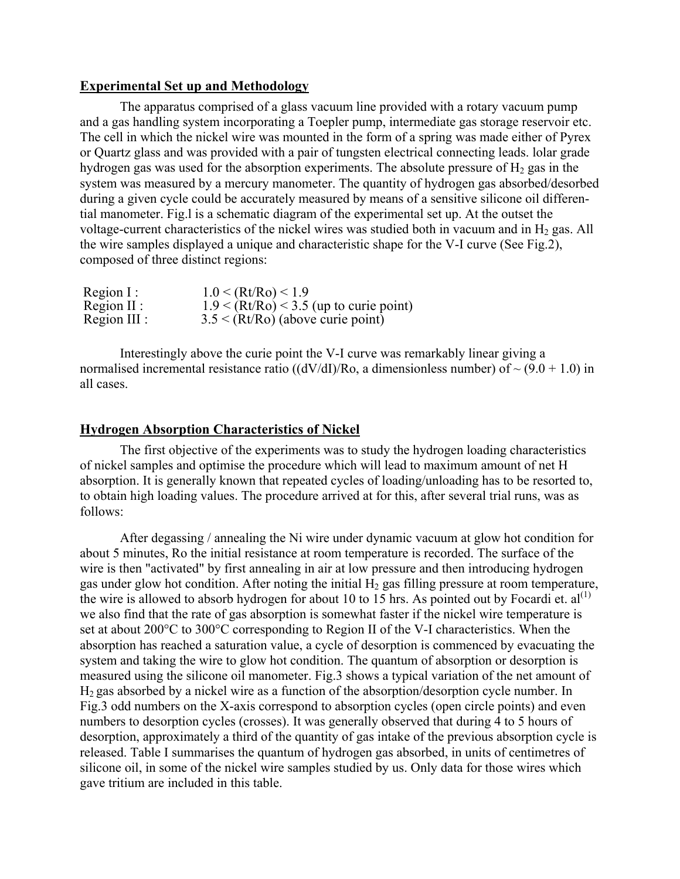## **Experimental Set up and Methodology**

The apparatus comprised of a glass vacuum line provided with a rotary vacuum pump and a gas handling system incorporating a Toepler pump, intermediate gas storage reservoir etc. The cell in which the nickel wire was mounted in the form of a spring was made either of Pyrex or Quartz glass and was provided with a pair of tungsten electrical connecting leads. lolar grade hydrogen gas was used for the absorption experiments. The absolute pressure of  $H_2$  gas in the system was measured by a mercury manometer. The quantity of hydrogen gas absorbed/desorbed during a given cycle could be accurately measured by means of a sensitive silicone oil differential manometer. Fig.l is a schematic diagram of the experimental set up. At the outset the voltage-current characteristics of the nickel wires was studied both in vacuum and in  $H<sub>2</sub>$  gas. All the wire samples displayed a unique and characteristic shape for the V-I curve (See Fig.2), composed of three distinct regions:

| Region $I$ :   | $1.0 \leq (Rt/Ro) \leq 1.9$               |
|----------------|-------------------------------------------|
| Region $II$ :  | $1.9 < (Rt/Ro) < 3.5$ (up to curie point) |
| Region $III$ : | $3.5 < (Rt/Ro)$ (above curie point)       |

Interestingly above the curie point the V-I curve was remarkably linear giving a normalised incremental resistance ratio (( $dV/dI$ )/Ro, a dimensionless number) of  $\sim$  (9.0 + 1.0) in all cases.

## **Hydrogen Absorption Characteristics of Nickel**

The first objective of the experiments was to study the hydrogen loading characteristics of nickel samples and optimise the procedure which will lead to maximum amount of net H absorption. It is generally known that repeated cycles of loading/unloading has to be resorted to, to obtain high loading values. The procedure arrived at for this, after several trial runs, was as follows:

After degassing / annealing the Ni wire under dynamic vacuum at glow hot condition for about 5 minutes, Ro the initial resistance at room temperature is recorded. The surface of the wire is then "activated" by first annealing in air at low pressure and then introducing hydrogen gas under glow hot condition. After noting the initial  $H_2$  gas filling pressure at room temperature, the wire is allowed to absorb hydrogen for about 10 to 15 hrs. As pointed out by Focardi et.  $al^{(1)}$ we also find that the rate of gas absorption is somewhat faster if the nickel wire temperature is set at about 200°C to 300°C corresponding to Region II of the V-I characteristics. When the absorption has reached a saturation value, a cycle of desorption is commenced by evacuating the system and taking the wire to glow hot condition. The quantum of absorption or desorption is measured using the silicone oil manometer. Fig.3 shows a typical variation of the net amount of H2 gas absorbed by a nickel wire as a function of the absorption/desorption cycle number. In Fig.3 odd numbers on the X-axis correspond to absorption cycles (open circle points) and even numbers to desorption cycles (crosses). It was generally observed that during 4 to 5 hours of desorption, approximately a third of the quantity of gas intake of the previous absorption cycle is released. Table I summarises the quantum of hydrogen gas absorbed, in units of centimetres of silicone oil, in some of the nickel wire samples studied by us. Only data for those wires which gave tritium are included in this table.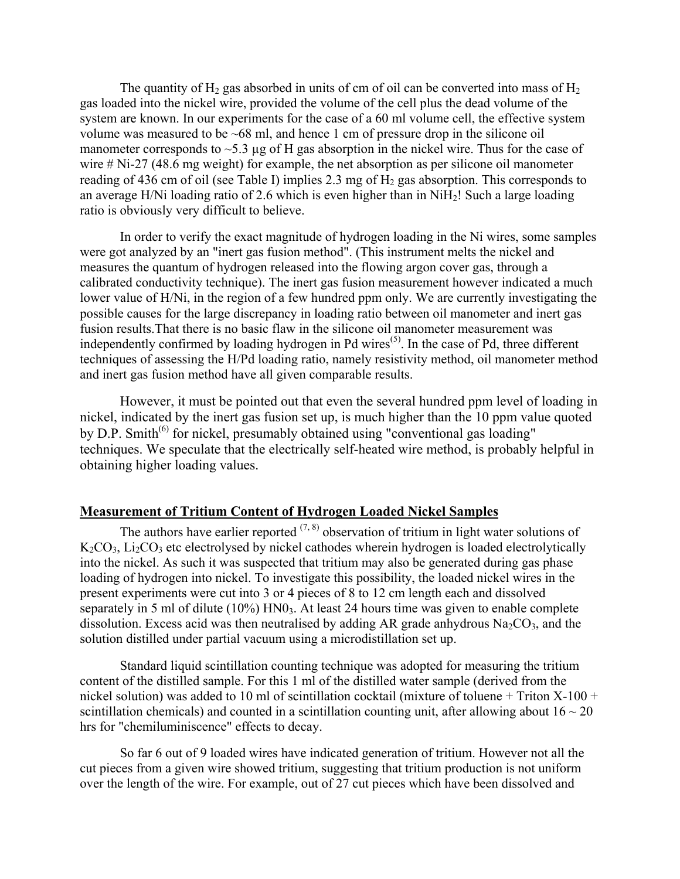The quantity of  $H_2$  gas absorbed in units of cm of oil can be converted into mass of  $H_2$ gas loaded into the nickel wire, provided the volume of the cell plus the dead volume of the system are known. In our experiments for the case of a 60 ml volume cell, the effective system volume was measured to be ~68 ml, and hence 1 cm of pressure drop in the silicone oil manometer corresponds to  $\sim$ 5.3 µg of H gas absorption in the nickel wire. Thus for the case of wire # Ni-27 (48.6 mg weight) for example, the net absorption as per silicone oil manometer reading of 436 cm of oil (see Table I) implies 2.3 mg of  $H_2$  gas absorption. This corresponds to an average H/Ni loading ratio of 2.6 which is even higher than in  $NiH<sub>2</sub>!$  Such a large loading ratio is obviously very difficult to believe.

In order to verify the exact magnitude of hydrogen loading in the Ni wires, some samples were got analyzed by an "inert gas fusion method". (This instrument melts the nickel and measures the quantum of hydrogen released into the flowing argon cover gas, through a calibrated conductivity technique). The inert gas fusion measurement however indicated a much lower value of H/Ni, in the region of a few hundred ppm only. We are currently investigating the possible causes for the large discrepancy in loading ratio between oil manometer and inert gas fusion results.That there is no basic flaw in the silicone oil manometer measurement was independently confirmed by loading hydrogen in Pd wires<sup> $(5)$ </sup>. In the case of Pd, three different techniques of assessing the H/Pd loading ratio, namely resistivity method, oil manometer method and inert gas fusion method have all given comparable results.

However, it must be pointed out that even the several hundred ppm level of loading in nickel, indicated by the inert gas fusion set up, is much higher than the 10 ppm value quoted by D.P. Smith<sup>(6)</sup> for nickel, presumably obtained using "conventional gas loading" techniques. We speculate that the electrically self-heated wire method, is probably helpful in obtaining higher loading values.

### **Measurement of Tritium Content of Hydrogen Loaded Nickel Samples**

The authors have earlier reported  $(7, 8)$  observation of tritium in light water solutions of  $K_2CO_3$ ,  $Li_2CO_3$  etc electrolysed by nickel cathodes wherein hydrogen is loaded electrolytically into the nickel. As such it was suspected that tritium may also be generated during gas phase loading of hydrogen into nickel. To investigate this possibility, the loaded nickel wires in the present experiments were cut into 3 or 4 pieces of 8 to 12 cm length each and dissolved separately in 5 ml of dilute  $(10\%)$  HN0<sub>3</sub>. At least 24 hours time was given to enable complete dissolution. Excess acid was then neutralised by adding AR grade anhydrous  $Na_2CO_3$ , and the solution distilled under partial vacuum using a microdistillation set up.

Standard liquid scintillation counting technique was adopted for measuring the tritium content of the distilled sample. For this 1 ml of the distilled water sample (derived from the nickel solution) was added to 10 ml of scintillation cocktail (mixture of toluene + Triton X-100 + scintillation chemicals) and counted in a scintillation counting unit, after allowing about  $16 \sim 20$ hrs for "chemiluminiscence" effects to decay.

So far 6 out of 9 loaded wires have indicated generation of tritium. However not all the cut pieces from a given wire showed tritium, suggesting that tritium production is not uniform over the length of the wire. For example, out of 27 cut pieces which have been dissolved and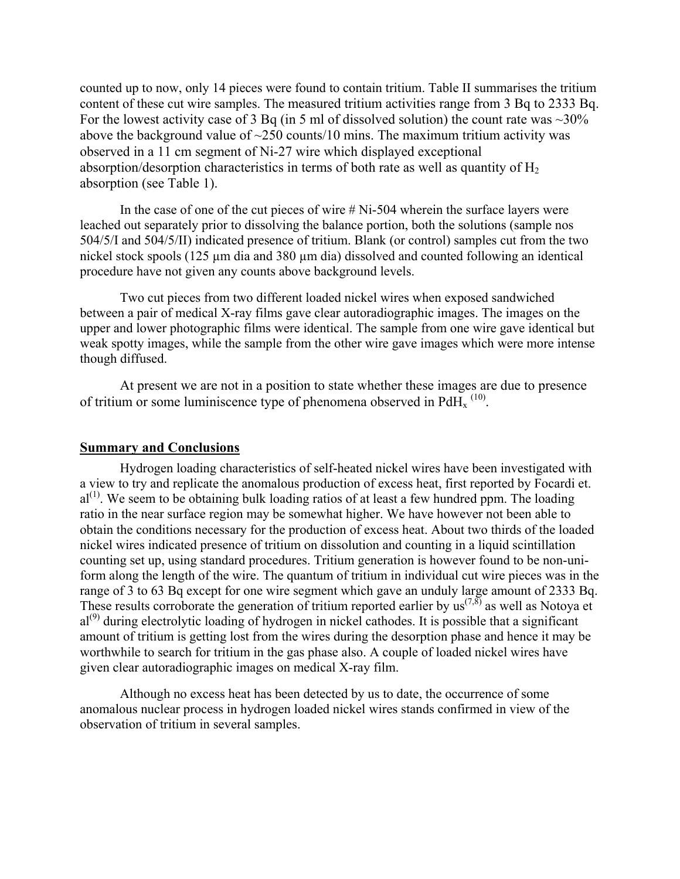counted up to now, only 14 pieces were found to contain tritium. Table II summarises the tritium content of these cut wire samples. The measured tritium activities range from 3 Bq to 2333 Bq. For the lowest activity case of 3 Bq (in 5 ml of dissolved solution) the count rate was  $\sim$ 30% above the background value of  $\sim$ 250 counts/10 mins. The maximum tritium activity was observed in a 11 cm segment of Ni-27 wire which displayed exceptional absorption/desorption characteristics in terms of both rate as well as quantity of  $H_2$ absorption (see Table 1).

In the case of one of the cut pieces of wire # Ni-504 wherein the surface layers were leached out separately prior to dissolving the balance portion, both the solutions (sample nos 504/5/I and 504/5/II) indicated presence of tritium. Blank (or control) samples cut from the two nickel stock spools (125 µm dia and 380 µm dia) dissolved and counted following an identical procedure have not given any counts above background levels.

Two cut pieces from two different loaded nickel wires when exposed sandwiched between a pair of medical X-ray films gave clear autoradiographic images. The images on the upper and lower photographic films were identical. The sample from one wire gave identical but weak spotty images, while the sample from the other wire gave images which were more intense though diffused.

At present we are not in a position to state whether these images are due to presence of tritium or some luminiscence type of phenomena observed in PdH<sub>x</sub><sup>(10)</sup>.

#### **Summary and Conclusions**

Hydrogen loading characteristics of self-heated nickel wires have been investigated with a view to try and replicate the anomalous production of excess heat, first reported by Focardi et.  $al^{(1)}$ . We seem to be obtaining bulk loading ratios of at least a few hundred ppm. The loading ratio in the near surface region may be somewhat higher. We have however not been able to obtain the conditions necessary for the production of excess heat. About two thirds of the loaded nickel wires indicated presence of tritium on dissolution and counting in a liquid scintillation counting set up, using standard procedures. Tritium generation is however found to be non-uniform along the length of the wire. The quantum of tritium in individual cut wire pieces was in the range of 3 to 63 Bq except for one wire segment which gave an unduly large amount of 2333 Bq. These results corroborate the generation of tritium reported earlier by  $\mathbf{u}$ s<sup>(7,8)</sup> as well as Notoya et  $al^{(9)}$  during electrolytic loading of hydrogen in nickel cathodes. It is possible that a significant amount of tritium is getting lost from the wires during the desorption phase and hence it may be worthwhile to search for tritium in the gas phase also. A couple of loaded nickel wires have given clear autoradiographic images on medical X-ray film.

Although no excess heat has been detected by us to date, the occurrence of some anomalous nuclear process in hydrogen loaded nickel wires stands confirmed in view of the observation of tritium in several samples.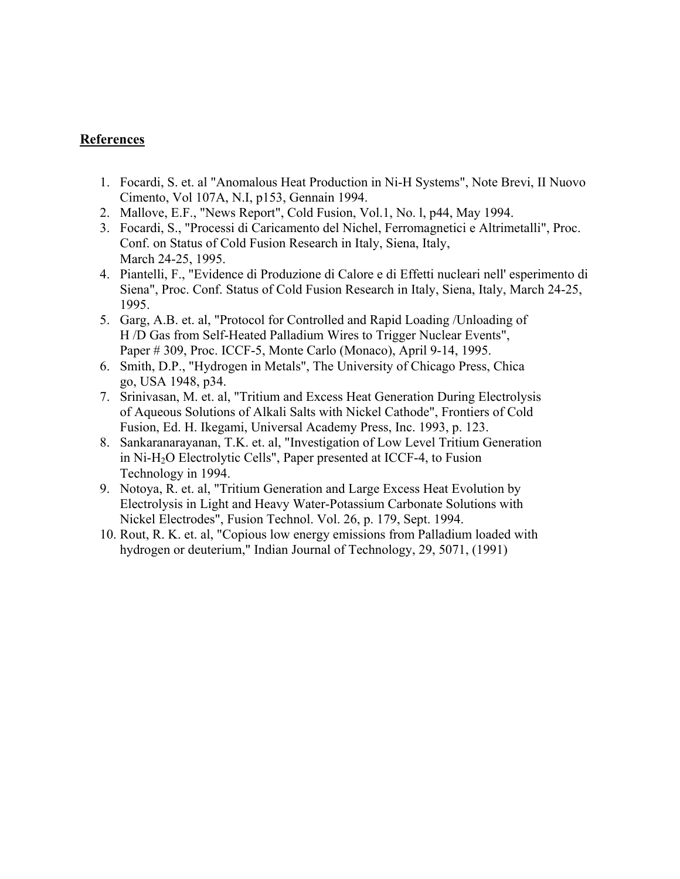## **References**

- 1. Focardi, S. et. al "Anomalous Heat Production in Ni-H Systems", Note Brevi, II Nuovo Cimento, Vol 107A, N.I, p153, Gennain 1994.
- 2. Mallove, E.F., "News Report", Cold Fusion, Vol.1, No. l, p44, May 1994.
- 3. Focardi, S., "Processi di Caricamento del Nichel, Ferromagnetici e Altrimetalli", Proc. Conf. on Status of Cold Fusion Research in Italy, Siena, Italy, March 24-25, 1995.
- 4. Piantelli, F., "Evidence di Produzione di Calore e di Effetti nucleari nell' esperimento di Siena", Proc. Conf. Status of Cold Fusion Research in Italy, Siena, Italy, March 24-25, 1995.
- 5. Garg, A.B. et. al, "Protocol for Controlled and Rapid Loading /Unloading of H /D Gas from Self-Heated Palladium Wires to Trigger Nuclear Events", Paper # 309, Proc. ICCF-5, Monte Carlo (Monaco), April 9-14, 1995.
- 6. Smith, D.P., "Hydrogen in Metals", The University of Chicago Press, Chica go, USA 1948, p34.
- 7. Srinivasan, M. et. al, "Tritium and Excess Heat Generation During Electrolysis of Aqueous Solutions of Alkali Salts with Nickel Cathode", Frontiers of Cold Fusion, Ed. H. Ikegami, Universal Academy Press, Inc. 1993, p. 123.
- 8. Sankaranarayanan, T.K. et. al, "Investigation of Low Level Tritium Generation in Ni-H2O Electrolytic Cells", Paper presented at ICCF-4, to Fusion Technology in 1994.
- 9. Notoya, R. et. al, "Tritium Generation and Large Excess Heat Evolution by Electrolysis in Light and Heavy Water-Potassium Carbonate Solutions with Nickel Electrodes", Fusion Technol. Vol. 26, p. 179, Sept. 1994.
- 10. Rout, R. K. et. al, "Copious low energy emissions from Palladium loaded with hydrogen or deuterium," Indian Journal of Technology, 29, 5071, (1991)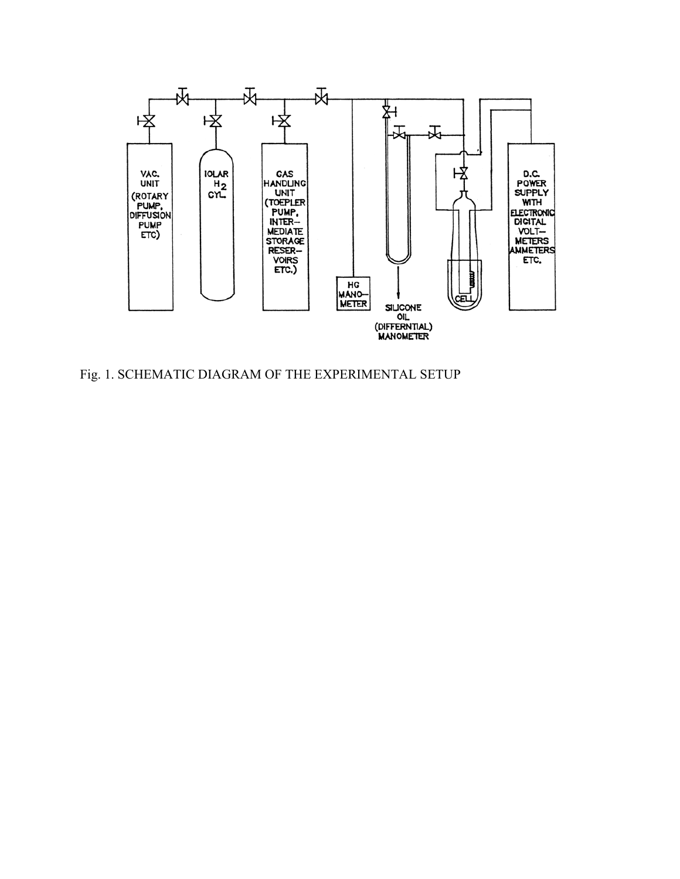

Fig. 1. SCHEMATIC DIAGRAM OF THE EXPERIMENTAL SETUP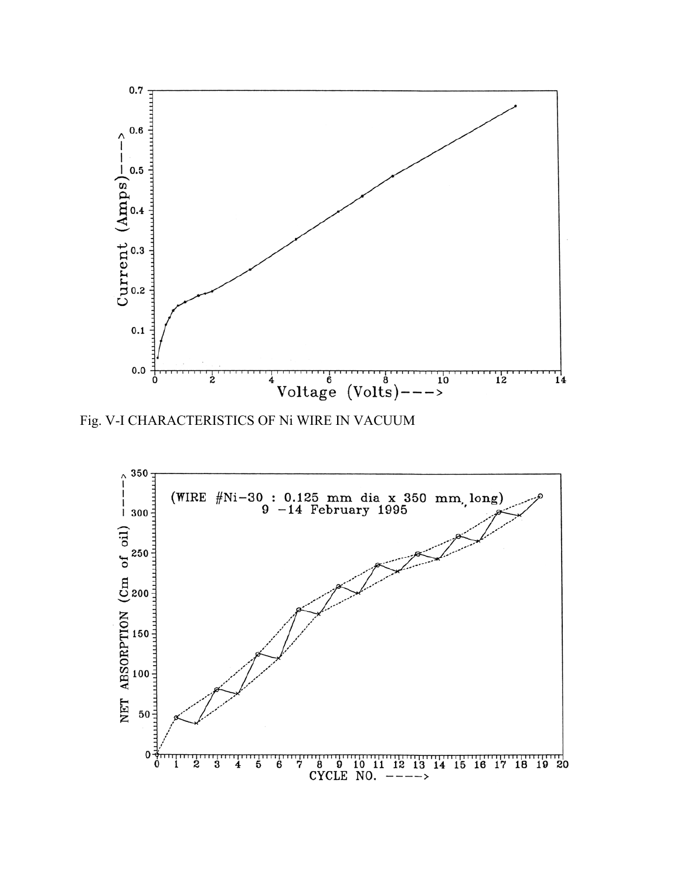

Fig. V-I CHARACTERISTICS OF Ni WIRE IN VACUUM